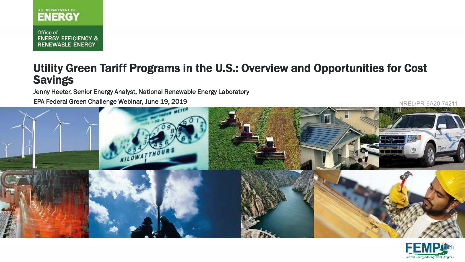

Office of **ENERGY EFFICIENCY & RENEWABLE ENERGY** 

#### Utility Green Tariff Programs in the U.S.: Overview and Opportunities for Cost Savings

Jenny Heeter, Senior Energy Analyst, National Renewable Energy Laboratory

EPA Federal Green Challenge Webinar, June 19, 2019 NREL/PR-6A20-742



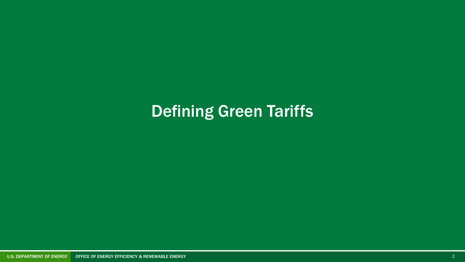# Defining Green Tariffs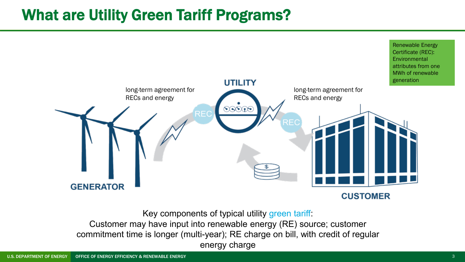## What are Utility Green Tariff Programs?



Key components of typical utility green tariff:

Customer may have input into renewable energy (RE) source; customer commitment time is longer (multi-year); RE charge on bill, with credit of regular energy charge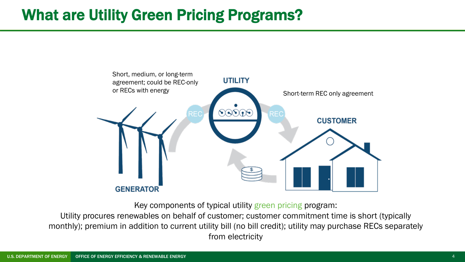## What are Utility Green Pricing Programs?



Key components of typical utility green pricing program:

Utility procures renewables on behalf of customer; customer commitment time is short (typically monthly); premium in addition to current utility bill (no bill credit); utility may purchase RECs separately from electricity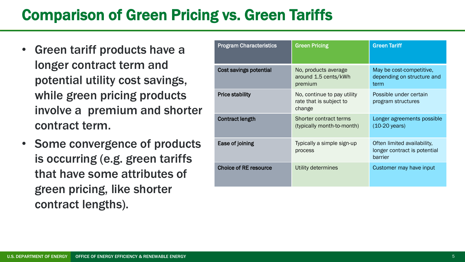## Comparison of Green Pricing vs. Green Tariffs

- Green tariff products have a longer contract term and potential utility cost savings, while green pricing products involve a premium and shorter contract term.
- Some convergence of products is occurring (e.g. green tariffs that have some attributes of green pricing, like shorter contract lengths).

| <b>Program Characteristics</b> | <b>Green Pricing</b>                                             | <b>Green Tariff</b>                                                    |
|--------------------------------|------------------------------------------------------------------|------------------------------------------------------------------------|
| Cost savings potential         | No, products average<br>around 1.5 cents/kWh<br>premium          | May be cost-competitive,<br>depending on structure and<br>term         |
| <b>Price stability</b>         | No, continue to pay utility<br>rate that is subject to<br>change | Possible under certain<br>program structures                           |
| <b>Contract length</b>         | Shorter contract terms<br>(typically month-to-month)             | Longer agreements possible<br>$(10-20 \text{ years})$                  |
| Ease of joining                | Typically a simple sign-up<br>process                            | Often limited availability,<br>longer contract is potential<br>barrier |
| <b>Choice of RE resource</b>   | Utility determines                                               | Customer may have input                                                |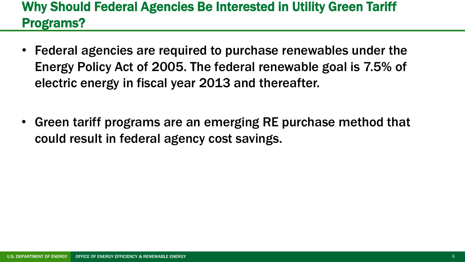#### Why Should Federal Agencies Be Interested in Utility Green Tariff Programs?

- Federal agencies are required to purchase renewables under the Energy Policy Act of 2005. The federal renewable goal is 7.5% of electric energy in fiscal year 2013 and thereafter.
- Green tariff programs are an emerging RE purchase method that could result in federal agency cost savings.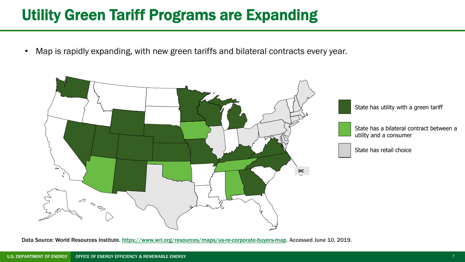## Utility Green Tariff Programs are Expanding

• Map is rapidly expanding, with new green tariffs and bilateral contracts every year.



Data Source: World Resources Institute. [https://www.wri.org/resources/maps/us-re-corporate-buyers-map.](https://www.wri.org/resources/maps/us-re-corporate-buyers-map) Accessed June 10, 2019.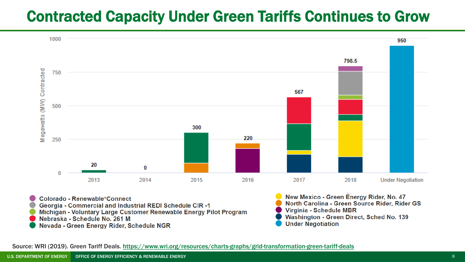## Contracted Capacity Under Green Tariffs Continues to Grow



Nevada - Green Energy Rider, Schedule NGR

Source: WRI (2019). Green Tariff Deals.<https://www.wri.org/resources/charts-graphs/grid-transformation-green-tariff-deals>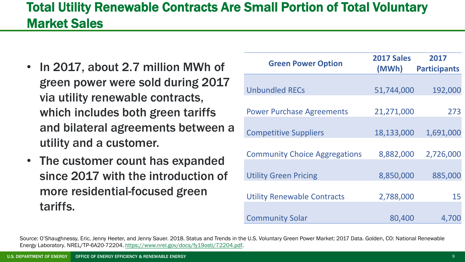#### Total Utility Renewable Contracts Are Small Portion of Total Voluntary Market Sales

- In 2017, about 2.7 million MWh of green power were sold during 2017 via utility renewable contracts, which includes both green tariffs and bilateral agreements between a utility and a customer.
- The customer count has expanded since 2017 with the introduction of more residential-focused green tariffs.

| <b>Green Power Option</b>            | 2017 Sales<br>(MWh) | 2017<br><b>Participants</b> |
|--------------------------------------|---------------------|-----------------------------|
|                                      |                     |                             |
| <b>Unbundled RECs</b>                | 51,744,000          | 192,000                     |
|                                      |                     |                             |
| <b>Power Purchase Agreements</b>     | 21,271,000          | 273                         |
|                                      |                     |                             |
| <b>Competitive Suppliers</b>         | 18,133,000          | 1,691,000                   |
|                                      |                     |                             |
| <b>Community Choice Aggregations</b> | 8,882,000           | 2,726,000                   |
|                                      |                     |                             |
| <b>Utility Green Pricing</b>         | 8,850,000           | 885,000                     |
|                                      |                     |                             |
| <b>Utility Renewable Contracts</b>   | 2,788,000           | 15                          |
|                                      |                     |                             |
| <b>Community Solar</b>               | 80,400              | 4,700                       |

Source: O'Shaughnessy, Eric, Jenny Heeter, and Jenny Sauer. 2018. Status and Trends in the U.S. Voluntary Green Power Market: 2017 Data. Golden, CO: National Renewable Energy Laboratory. NREL/TP-6A20-72204. [https://www.nrel.gov/docs/fy19osti/72204.pdf.](https://www.nrel.gov/docs/fy19osti/72204.pdf)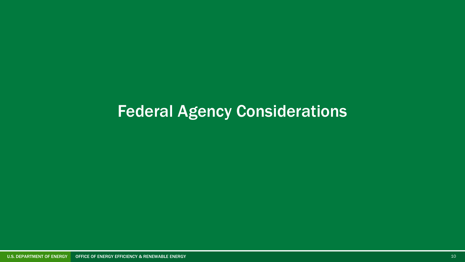# Federal Agency Considerations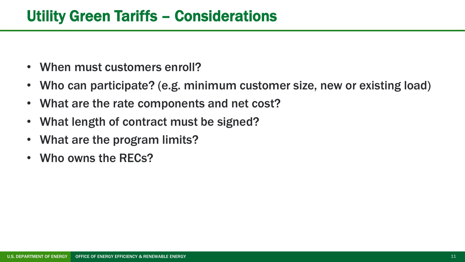- When must customers enroll?
- Who can participate? (e.g. minimum customer size, new or existing load)
- What are the rate components and net cost?
- What length of contract must be signed?
- What are the program limits?
- Who owns the RECs?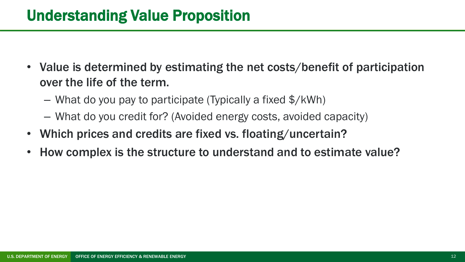## Understanding Value Proposition

- Value is determined by estimating the net costs/benefit of participation over the life of the term.
	- What do you pay to participate (Typically a fixed \$/kWh)
	- What do you credit for? (Avoided energy costs, avoided capacity)
- Which prices and credits are fixed vs. floating/uncertain?
- How complex is the structure to understand and to estimate value?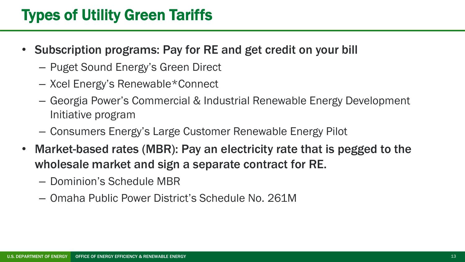# Types of Utility Green Tariffs

- Subscription programs: Pay for RE and get credit on your bill
	- Puget Sound Energy's Green Direct
	- Xcel Energy's Renewable\*Connect
	- Georgia Power's Commercial & Industrial Renewable Energy Development Initiative program
	- Consumers Energy's Large Customer Renewable Energy Pilot
- Market-based rates (MBR): Pay an electricity rate that is pegged to the wholesale market and sign a separate contract for RE.
	- Dominion's Schedule MBR
	- Omaha Public Power District's Schedule No. 261M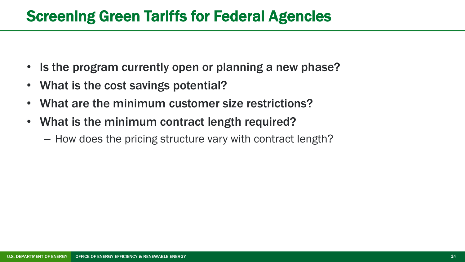## Screening Green Tariffs for Federal Agencies

- Is the program currently open or planning a new phase?
- What is the cost savings potential?
- What are the minimum customer size restrictions?
- What is the minimum contract length required?
	- How does the pricing structure vary with contract length?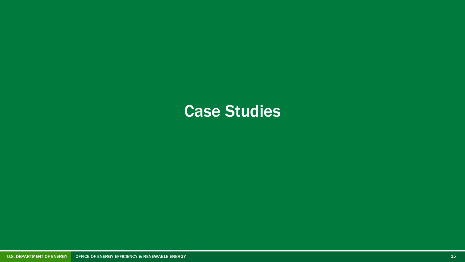# Case Studies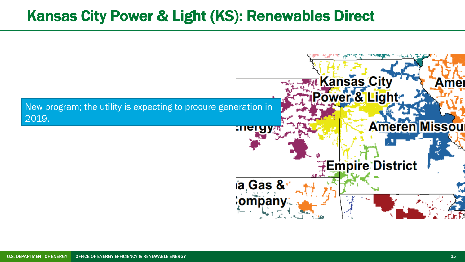### Kansas City Power & Light (KS): Renewables Direct

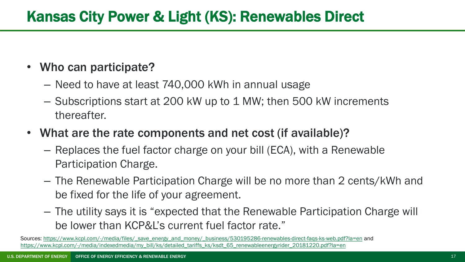## Kansas City Power & Light (KS): Renewables Direct

#### • Who can participate?

- Need to have at least 740,000 kWh in annual usage
- Subscriptions start at 200 kW up to 1 MW; then 500 kW increments thereafter.
- What are the rate components and net cost (if available)?
	- Replaces the fuel factor charge on your bill (ECA), with a Renewable Participation Charge.
	- The Renewable Participation Charge will be no more than 2 cents/kWh and be fixed for the life of your agreement.
	- The utility says it is "expected that the Renewable Participation Charge will be lower than KCP&L's current fuel factor rate."

Sources: [https://www.kcpl.com/-/media/files/\\_save\\_energy\\_and\\_money/\\_business/530195286-renewables-direct-faqs-ks-web.pdf?la=en](https://www.kcpl.com/-/media/files/_save_energy_and_money/_business/530195286-renewables-direct-faqs-ks-web.pdf?la=en) and [https://www.kcpl.com/-/media/indexedmedia/my\\_bill/ks/detailed\\_tariffs\\_ks/ksdt\\_65\\_renewableenergyrider\\_20181220.pdf?la=en](https://www.kcpl.com/-/media/indexedmedia/my_bill/ks/detailed_tariffs_ks/ksdt_65_renewableenergyrider_20181220.pdf?la=en)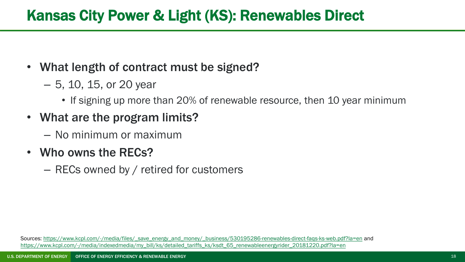### Kansas City Power & Light (KS): Renewables Direct

#### • What length of contract must be signed?

- 5, 10, 15, or 20 year
	- If signing up more than 20% of renewable resource, then 10 year minimum
- What are the program limits?
	- No minimum or maximum
- Who owns the RECs?
	- RECs owned by / retired for customers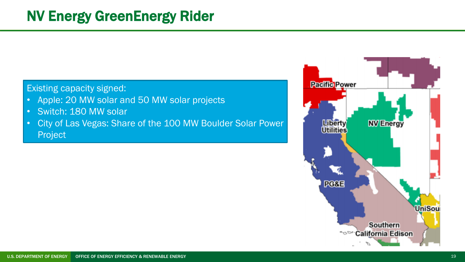#### Existing capacity signed:

- Apple: 20 MW solar and 50 MW solar projects
- Switch: 180 MW solar
- City of Las Vegas: Share of the 100 MW Boulder Solar Power Project

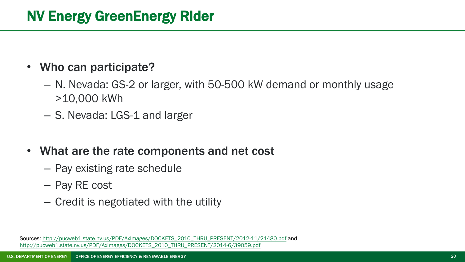#### • Who can participate?

- N. Nevada: GS-2 or larger, with 50-500 kW demand or monthly usage >10,000 kWh
- S. Nevada: LGS-1 and larger
- What are the rate components and net cost
	- Pay existing rate schedule
	- Pay RE cost
	- Credit is negotiated with the utility

Sources: [http://pucweb1.state.nv.us/PDF/AxImages/DOCKETS\\_2010\\_THRU\\_PRESENT/2012-11/21480.pdf](http://pucweb1.state.nv.us/PDF/AxImages/DOCKETS_2010_THRU_PRESENT/2012-11/21480.pdf) and [http://pucweb1.state.nv.us/PDF/AxImages/DOCKETS\\_2010\\_THRU\\_PRESENT/2014-6/39059.pdf](http://pucweb1.state.nv.us/PDF/AxImages/DOCKETS_2010_THRU_PRESENT/2014-6/39059.pdf)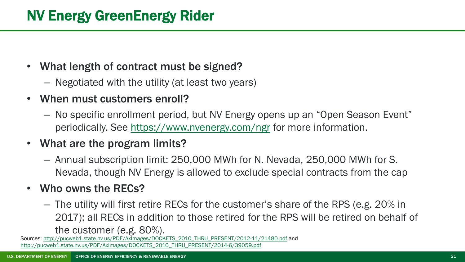#### • What length of contract must be signed?

- Negotiated with the utility (at least two years)
- When must customers enroll?
	- No specific enrollment period, but NV Energy opens up an "Open Season Event" periodically. See <https://www.nvenergy.com/ngr> for more information.
- What are the program limits?
	- Annual subscription limit: 250,000 MWh for N. Nevada, 250,000 MWh for S. Nevada, though NV Energy is allowed to exclude special contracts from the cap

#### • Who owns the RECs?

– The utility will first retire RECs for the customer's share of the RPS (e.g. 20% in 2017); all RECs in addition to those retired for the RPS will be retired on behalf of the customer (e.g. 80%).

Sources: [http://pucweb1.state.nv.us/PDF/AxImages/DOCKETS\\_2010\\_THRU\\_PRESENT/2012-11/21480.pdf](http://pucweb1.state.nv.us/PDF/AxImages/DOCKETS_2010_THRU_PRESENT/2012-11/21480.pdf) and [http://pucweb1.state.nv.us/PDF/AxImages/DOCKETS\\_2010\\_THRU\\_PRESENT/2014-6/39059.pdf](http://pucweb1.state.nv.us/PDF/AxImages/DOCKETS_2010_THRU_PRESENT/2014-6/39059.pdf)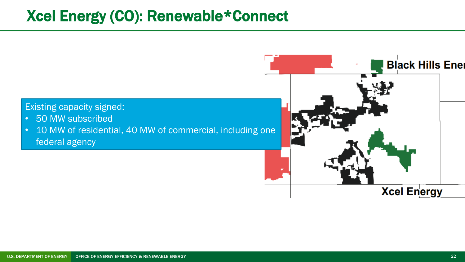### Xcel Energy (CO): Renewable\*Connect

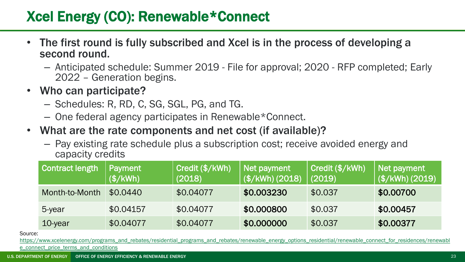#### Xcel Energy (CO): Renewable\*Connect

- The first round is fully subscribed and Xcel is in the process of developing a second round.
	- Anticipated schedule: Summer 2019 File for approval; 2020 RFP completed; Early 2022 – Generation begins.
- Who can participate?
	- Schedules: R, RD, C, SG, SGL, PG, and TG.
	- One federal agency participates in Renewable\*Connect.
- What are the rate components and net cost (if available)?
	- Pay existing rate schedule plus a subscription cost; receive avoided energy and capacity credits

| <b>Contract length</b> | Payment<br>(\$/KWh) | Credit (\$/kWh)<br>(2018) | Net payment<br>(\$/kWh) (2018) | Credit (\$/kWh)<br>(2019) | Net payment<br>(\$/KWh) (2019) |
|------------------------|---------------------|---------------------------|--------------------------------|---------------------------|--------------------------------|
| Month-to-Month         | \$0.0440            | \$0.04077                 | \$0.003230                     | \$0.037                   | \$0.00700                      |
| 5-year                 | \$0.04157           | \$0.04077                 | \$0.000800                     | \$0.037                   | \$0.00457                      |
| 10-year                | \$0.04077           | \$0.04077                 | \$0.000000                     | \$0.037                   | \$0.00377                      |

Source:

[https://www.xcelenergy.com/programs\\_and\\_rebates/residential\\_programs\\_and\\_rebates/renewable\\_energy\\_options\\_residential/renewable\\_connect\\_for\\_residences/renewabl](https://www.xcelenergy.com/programs_and_rebates/residential_programs_and_rebates/renewable_energy_options_residential/renewable_connect_for_residences/renewable_connect_price_terms_and_conditions)e e\_connect\_price\_terms\_and\_conditions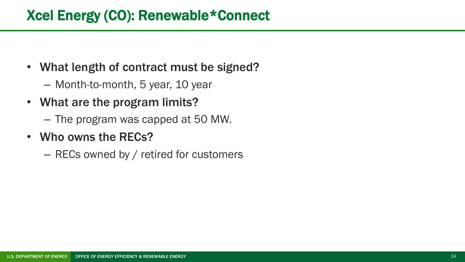#### Xcel Energy (CO): Renewable\*Connect

- What length of contract must be signed?
	- Month-to-month, 5 year, 10 year
- What are the program limits?
	- The program was capped at 50 MW.
- Who owns the RECs?
	- RECs owned by / retired for customers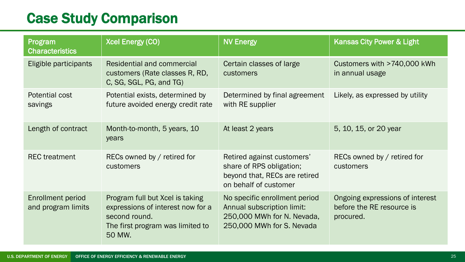### Case Study Comparison

| Program<br><b>Characteristics</b>              | <b>Xcel Energy (CO)</b>                                                                                                             | <b>NV Energy</b>                                                                                                       | <b>Kansas City Power &amp; Light</b>                                      |
|------------------------------------------------|-------------------------------------------------------------------------------------------------------------------------------------|------------------------------------------------------------------------------------------------------------------------|---------------------------------------------------------------------------|
| Eligible participants                          | <b>Residential and commercial</b><br>customers (Rate classes R, RD,<br>C, SG, SGL, PG, and TG)                                      | Certain classes of large<br>customers                                                                                  | Customers with >740,000 kWh<br>in annual usage                            |
| Potential cost<br>savings                      | Potential exists, determined by<br>future avoided energy credit rate                                                                | Determined by final agreement<br>with RE supplier                                                                      | Likely, as expressed by utility                                           |
| Length of contract                             | Month-to-month, 5 years, 10<br>years                                                                                                | At least 2 years                                                                                                       | 5, 10, 15, or 20 year                                                     |
| <b>REC</b> treatment                           | RECs owned by / retired for<br>customers                                                                                            | Retired against customers'<br>share of RPS obligation;<br>beyond that, RECs are retired<br>on behalf of customer       | RECs owned by / retired for<br>customers                                  |
| <b>Enrollment period</b><br>and program limits | Program full but Xcel is taking<br>expressions of interest now for a<br>second round.<br>The first program was limited to<br>50 MW. | No specific enrollment period<br>Annual subscription limit:<br>250,000 MWh for N. Nevada,<br>250,000 MWh for S. Nevada | Ongoing expressions of interest<br>before the RE resource is<br>procured. |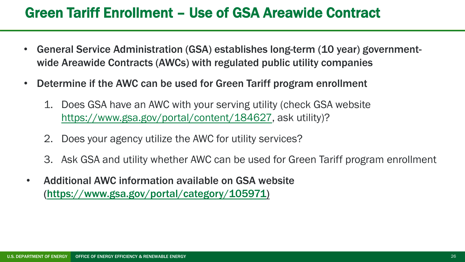#### Green Tariff Enrollment – Use of GSA Areawide Contract

- General Service Administration (GSA) establishes long-term (10 year) governmentwide Areawide Contracts (AWCs) with regulated public utility companies
- Determine if the AWC can be used for Green Tariff program enrollment
	- 1. Does GSA have an AWC with your serving utility (check GSA website [https://www.gsa.gov/portal/content/184627,](https://www.gsa.gov/portal/content/184627) ask utility)?
	- 2. Does your agency utilize the AWC for utility services?
	- 3. Ask GSA and utility whether AWC can be used for Green Tariff program enrollment
- Additional AWC information available on GSA website ([https://www.gsa.gov/portal/category/105971\)](https://www.gsa.gov/portal/category/105971)